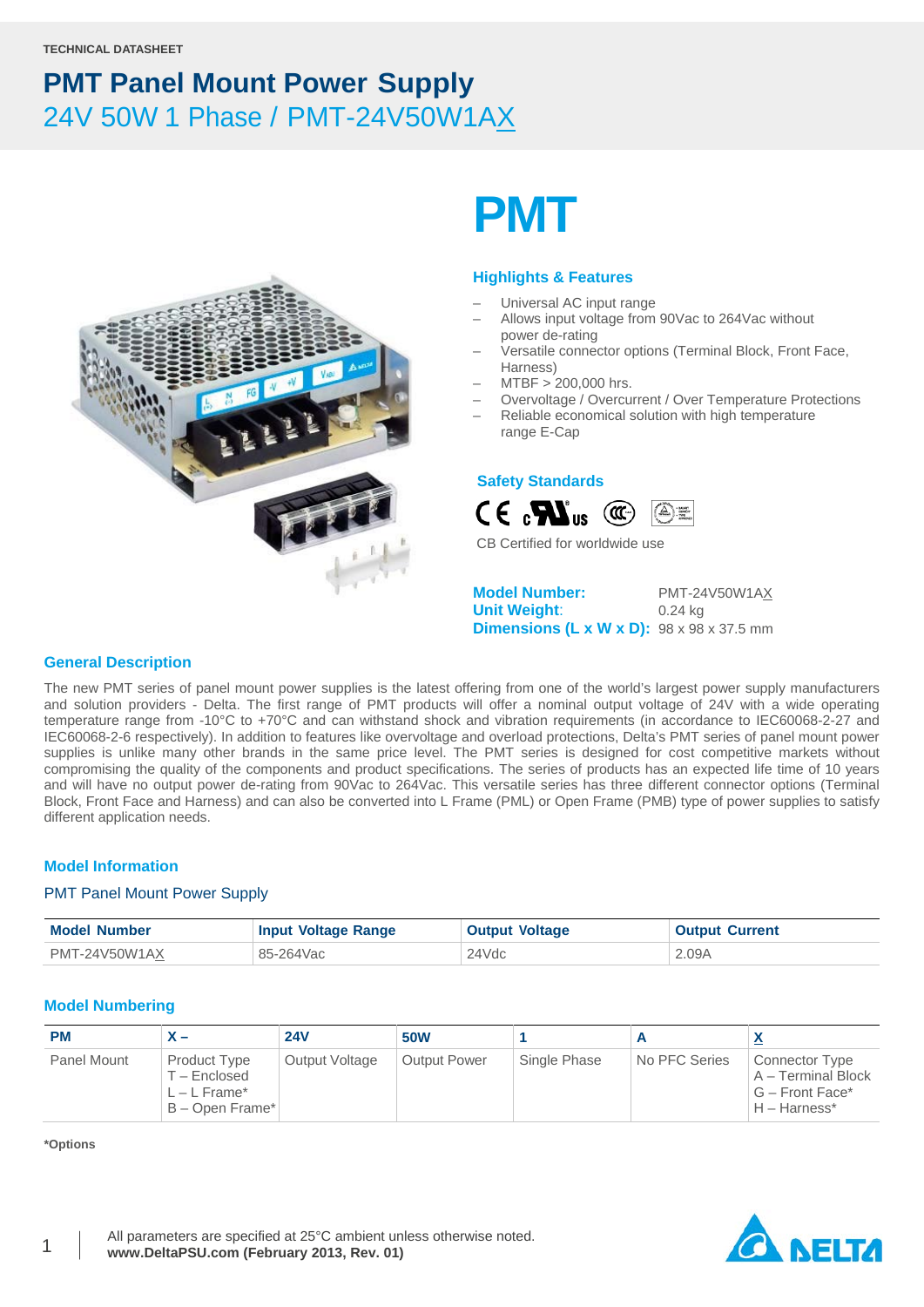

# **PMT**

### **Highlights & Features**

- Universal AC input range
- Allows input voltage from 90Vac to 264Vac without power de-rating
- Versatile connector options (Terminal Block, Front Face, Harness)
- MTBF > 200,000 hrs.
- Overvoltage / Overcurrent / Over Temperature Protections
- Reliable economical solution with high temperature range E-Cap

### **Safety Standards**



CB Certified for worldwide use

**Model Number:** PMT-24V50W1AX **Unit Weight**: 0.24 kg **Dimensions (L x W x D):** 98 x 98 x 37.5 mm

### **General Description**

The new PMT series of panel mount power supplies is the latest offering from one of the world's largest power supply manufacturers and solution providers - Delta. The first range of PMT products will offer a nominal output voltage of 24V with a wide operating temperature range from -10°C to +70°C and can withstand shock and vibration requirements (in accordance to IEC60068-2-27 and IEC60068-2-6 respectively). In addition to features like overvoltage and overload protections, Delta's PMT series of panel mount power supplies is unlike many other brands in the same price level. The PMT series is designed for cost competitive markets without compromising the quality of the components and product specifications. The series of products has an expected life time of 10 years and will have no output power de-rating from 90Vac to 264Vac. This versatile series has three different connector options (Terminal Block, Front Face and Harness) and can also be converted into L Frame (PML) or Open Frame (PMB) type of power supplies to satisfy different application needs.

### **Model Information**

### PMT Panel Mount Power Supply

| <b>Model Number</b> | <b>Input Voltage Range</b> | <b>Output Voltage</b> | <b>Output Current</b> |
|---------------------|----------------------------|-----------------------|-----------------------|
| PMT-24V50W1AX       | 85-264Vac                  | 24Vdc                 | 2.09A                 |

### **Model Numbering**

| <b>PM</b>   | $\lambda -$                                                         | <b>24V</b>     | <b>50W</b>          |              |               | $\mathbf{v}$                                                              |
|-------------|---------------------------------------------------------------------|----------------|---------------------|--------------|---------------|---------------------------------------------------------------------------|
| Panel Mount | Product Type<br>$T -$ Enclosed<br>$L - L$ Frame*<br>B - Open Frame* | Output Voltage | <b>Output Power</b> | Single Phase | No PFC Series | Connector Type<br>A – Terminal Block<br>G - Front Face*<br>$H - Harness*$ |

**\*Options**

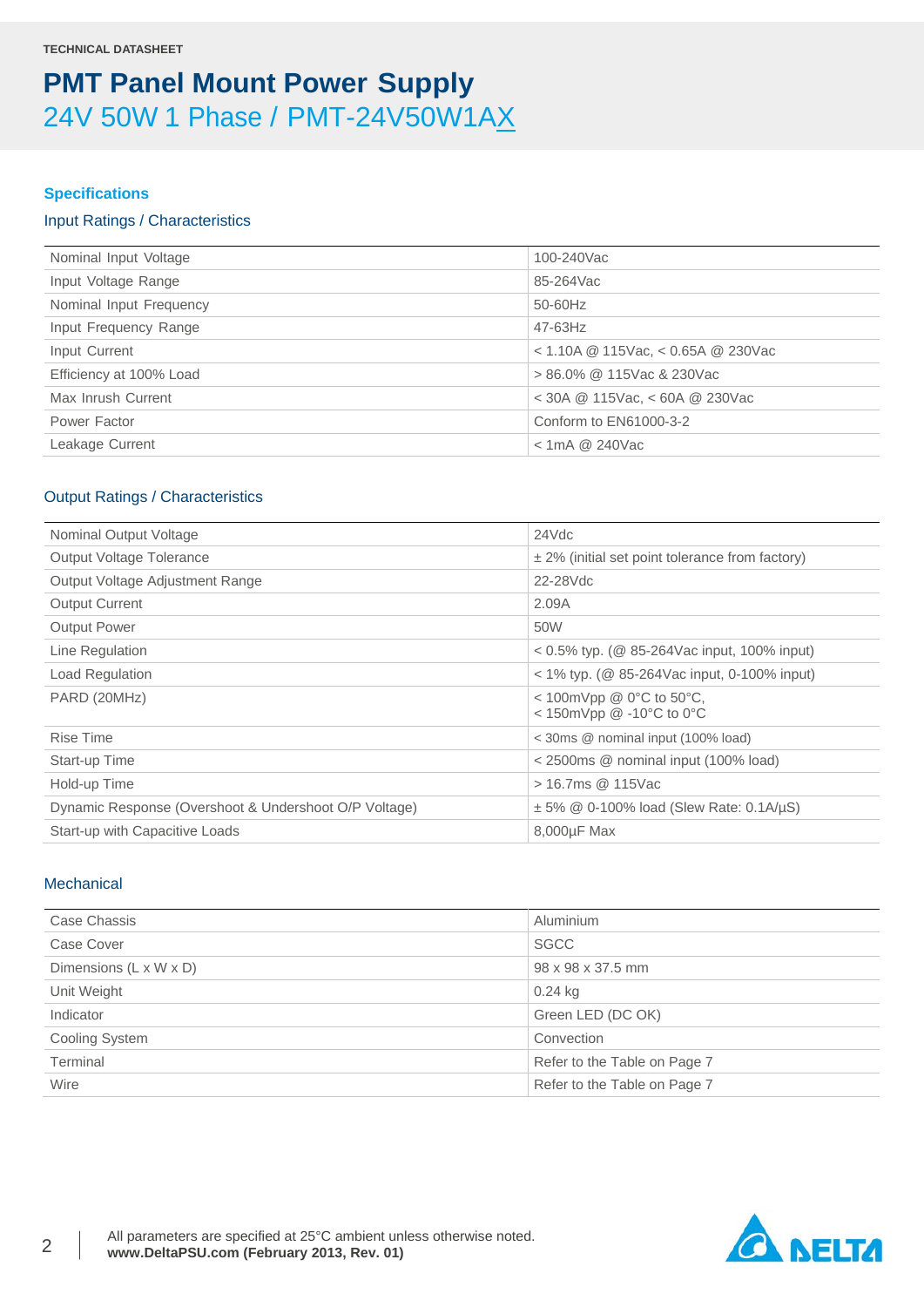### **Specifications**

### Input Ratings / Characteristics

| Nominal Input Voltage   | 100-240Vac                             |
|-------------------------|----------------------------------------|
| Input Voltage Range     | 85-264Vac                              |
| Nominal Input Frequency | 50-60Hz                                |
| Input Frequency Range   | 47-63Hz                                |
| Input Current           | $<$ 1.10A @ 115Vac, $<$ 0.65A @ 230Vac |
| Efficiency at 100% Load | $> 86.0\%$ @ 115Vac & 230Vac           |
| Max Inrush Current      | $<$ 30A @ 115Vac, $<$ 60A @ 230Vac     |
| Power Factor            | Conform to EN61000-3-2                 |
| Leakage Current         | $<$ 1mA @ 240Vac                       |
|                         |                                        |

### Output Ratings / Characteristics

| Nominal Output Voltage                                | 24Vdc                                                                       |
|-------------------------------------------------------|-----------------------------------------------------------------------------|
| Output Voltage Tolerance                              | $\pm$ 2% (initial set point tolerance from factory)                         |
| Output Voltage Adjustment Range                       | 22-28Vdc                                                                    |
| <b>Output Current</b>                                 | 2.09A                                                                       |
| <b>Output Power</b>                                   | 50W                                                                         |
| Line Regulation                                       | $0.5\%$ typ. ( $\circledR$ 85-264Vac input, 100% input)                     |
| Load Regulation                                       | $<$ 1% typ. (@ 85-264Vac input, 0-100% input)                               |
| PARD (20MHz)                                          | < 100mVpp @ $0^{\circ}$ C to 50 $^{\circ}$ C,<br>< 150mVpp $@ -10°C$ to 0°C |
| <b>Rise Time</b>                                      | < 30ms @ nominal input (100% load)                                          |
| Start-up Time                                         | < 2500ms @ nominal input (100% load)                                        |
| Hold-up Time                                          | > 16.7ms @ 115Vac                                                           |
| Dynamic Response (Overshoot & Undershoot O/P Voltage) | $\pm$ 5% @ 0-100% load (Slew Rate: 0.1A/ $\mu$ S)                           |
| Start-up with Capacitive Loads                        | 8,000µF Max                                                                 |

### **Mechanical**

| Case Chassis           | Aluminium                    |
|------------------------|------------------------------|
| Case Cover             | <b>SGCC</b>                  |
| Dimensions (L x W x D) | 98 x 98 x 37.5 mm            |
| Unit Weight            | $0.24$ kg                    |
| Indicator              | Green LED (DC OK)            |
| <b>Cooling System</b>  | Convection                   |
| Terminal               | Refer to the Table on Page 7 |
| Wire                   | Refer to the Table on Page 7 |

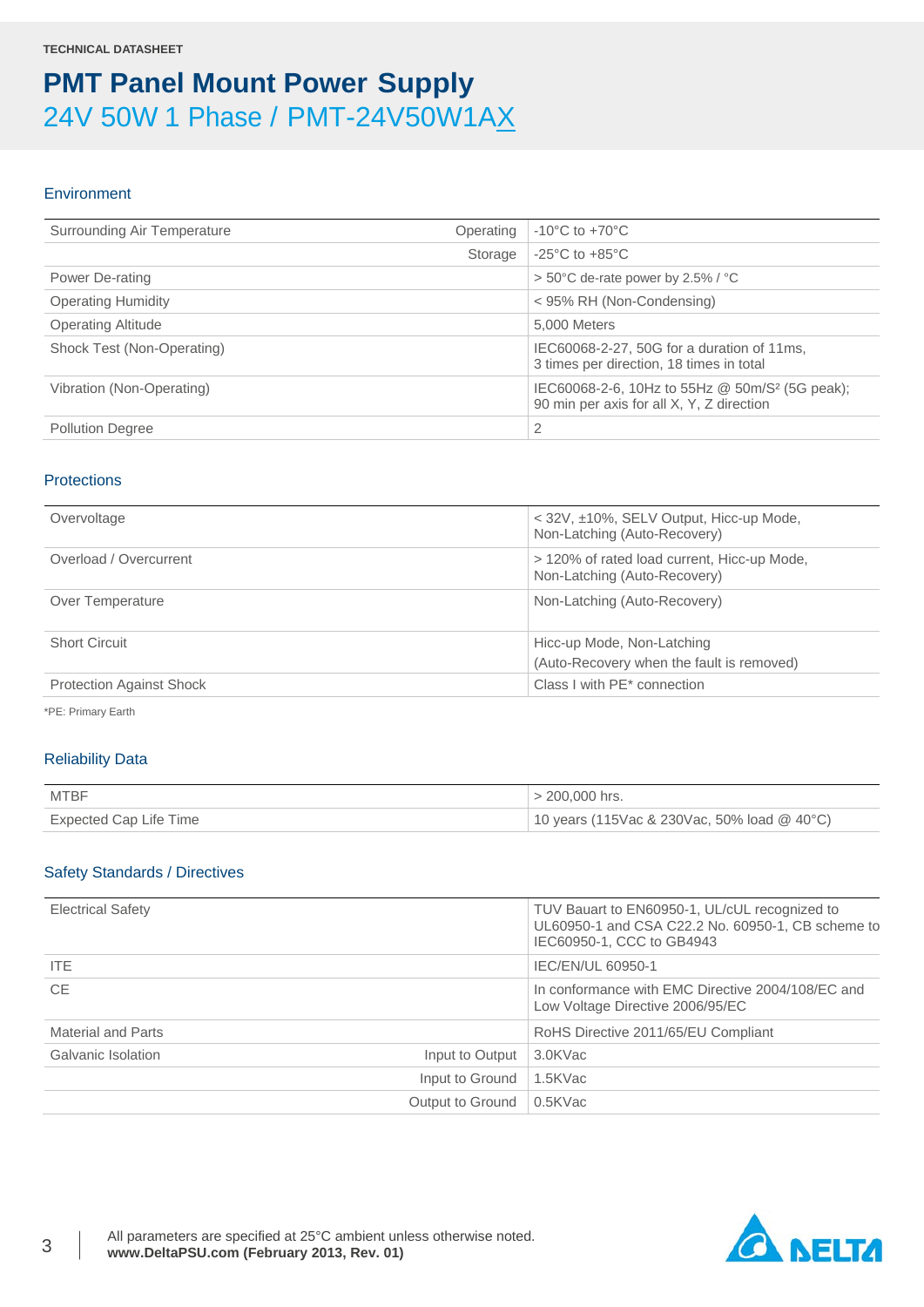### Environment

| Surrounding Air Temperature | $-10^{\circ}$ C to $+70^{\circ}$ C<br>Operating                                                         |
|-----------------------------|---------------------------------------------------------------------------------------------------------|
|                             | $-25^{\circ}$ C to $+85^{\circ}$ C<br>Storage                                                           |
| Power De-rating             | $> 50^{\circ}$ C de-rate power by 2.5% / $^{\circ}$ C                                                   |
| <b>Operating Humidity</b>   | < 95% RH (Non-Condensing)                                                                               |
| <b>Operating Altitude</b>   | 5.000 Meters                                                                                            |
| Shock Test (Non-Operating)  | IEC60068-2-27, 50G for a duration of 11ms,<br>3 times per direction, 18 times in total                  |
| Vibration (Non-Operating)   | IEC60068-2-6, 10Hz to 55Hz @ 50m/S <sup>2</sup> (5G peak);<br>90 min per axis for all X, Y, Z direction |
| <b>Pollution Degree</b>     | 2                                                                                                       |

### **Protections**

| Overvoltage                     | < 32V, ±10%, SELV Output, Hicc-up Mode,<br>Non-Latching (Auto-Recovery)     |
|---------------------------------|-----------------------------------------------------------------------------|
| Overload / Overcurrent          | > 120% of rated load current, Hicc-up Mode,<br>Non-Latching (Auto-Recovery) |
| Over Temperature                | Non-Latching (Auto-Recovery)                                                |
| <b>Short Circuit</b>            | Hicc-up Mode, Non-Latching<br>(Auto-Recovery when the fault is removed)     |
| <b>Protection Against Shock</b> | Class I with PE* connection                                                 |

\*PE: Primary Earth

### Reliability Data

| MTBF                   | $> 200,000$ hrs.                            |
|------------------------|---------------------------------------------|
| Expected Cap Life Time | 10 years (115Vac & 230Vac, 50% load @ 40°C) |

### Safety Standards / Directives

| <b>Electrical Safety</b>              | TUV Bauart to EN60950-1, UL/cUL recognized to<br>UL60950-1 and CSA C22.2 No. 60950-1, CB scheme to<br>IEC60950-1, CCC to GB4943 |
|---------------------------------------|---------------------------------------------------------------------------------------------------------------------------------|
| ITE.                                  | IEC/EN/UL 60950-1                                                                                                               |
| <b>CE</b>                             | In conformance with EMC Directive 2004/108/EC and<br>Low Voltage Directive 2006/95/EC                                           |
| Material and Parts                    | RoHS Directive 2011/65/EU Compliant                                                                                             |
| Galvanic Isolation<br>Input to Output | 3.0KVac                                                                                                                         |
| Input to Ground                       | 1.5KVac                                                                                                                         |
| Output to Ground                      | 0.5KVac                                                                                                                         |

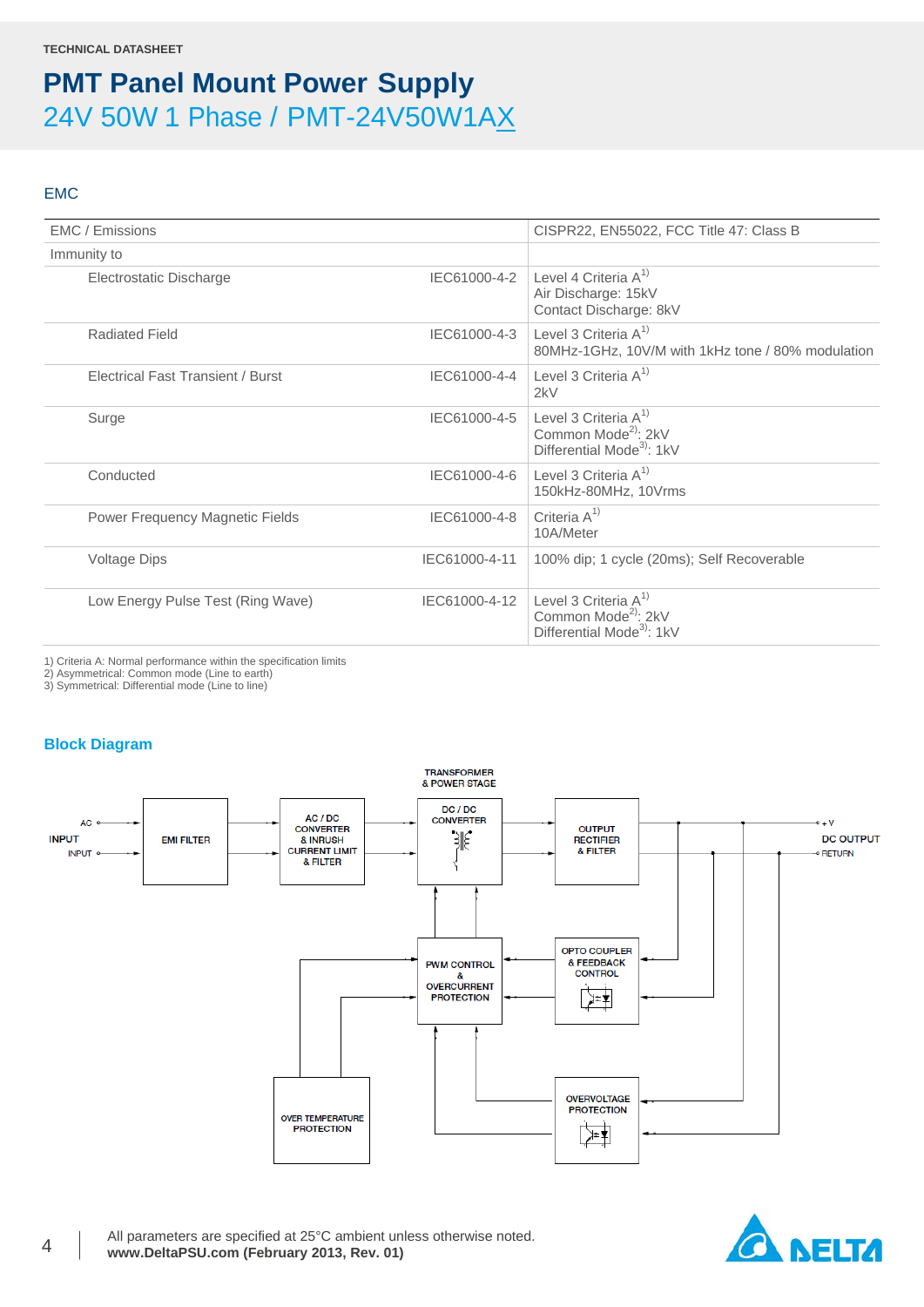### EMC

| EMC / Emissions                          |               | CISPR22, EN55022, FCC Title 47: Class B                                                             |
|------------------------------------------|---------------|-----------------------------------------------------------------------------------------------------|
| Immunity to                              |               |                                                                                                     |
| Electrostatic Discharge                  |               | IEC61000-4-2 Level 4 Criteria $A^{1}$<br>Air Discharge: 15kV<br>Contact Discharge: 8kV              |
| <b>Radiated Field</b>                    | IEC61000-4-3  | Level 3 Criteria $A^{1}$<br>80MHz-1GHz, 10V/M with 1kHz tone / 80% modulation                       |
| <b>Electrical Fast Transient / Burst</b> | IEC61000-4-4  | Level 3 Criteria $A^{1}$<br>2kV                                                                     |
| Surge                                    | IEC61000-4-5  | Level 3 Criteria $A^{1}$<br>Common Mode <sup>2)</sup> : 2kV<br>Differential Mode <sup>3</sup> : 1kV |
| Conducted                                | IEC61000-4-6  | Level 3 Criteria $A^{1}$<br>150kHz-80MHz, 10Vrms                                                    |
| Power Frequency Magnetic Fields          | IEC61000-4-8  | Criteria $A^{1}$<br>10A/Meter                                                                       |
| <b>Voltage Dips</b>                      | IEC61000-4-11 | 100% dip; 1 cycle (20ms); Self Recoverable                                                          |
| Low Energy Pulse Test (Ring Wave)        | IEC61000-4-12 | Level 3 Criteria $A^{1}$<br>Common Mode <sup>2)</sup> : 2kV<br>Differential Mode <sup>3</sup> : 1kV |
|                                          |               |                                                                                                     |

1) Criteria A: Normal performance within the specification limits

2) Asymmetrical: Common mode (Line to earth)

3) Symmetrical: Differential mode (Line to line)

### **Block Diagram**



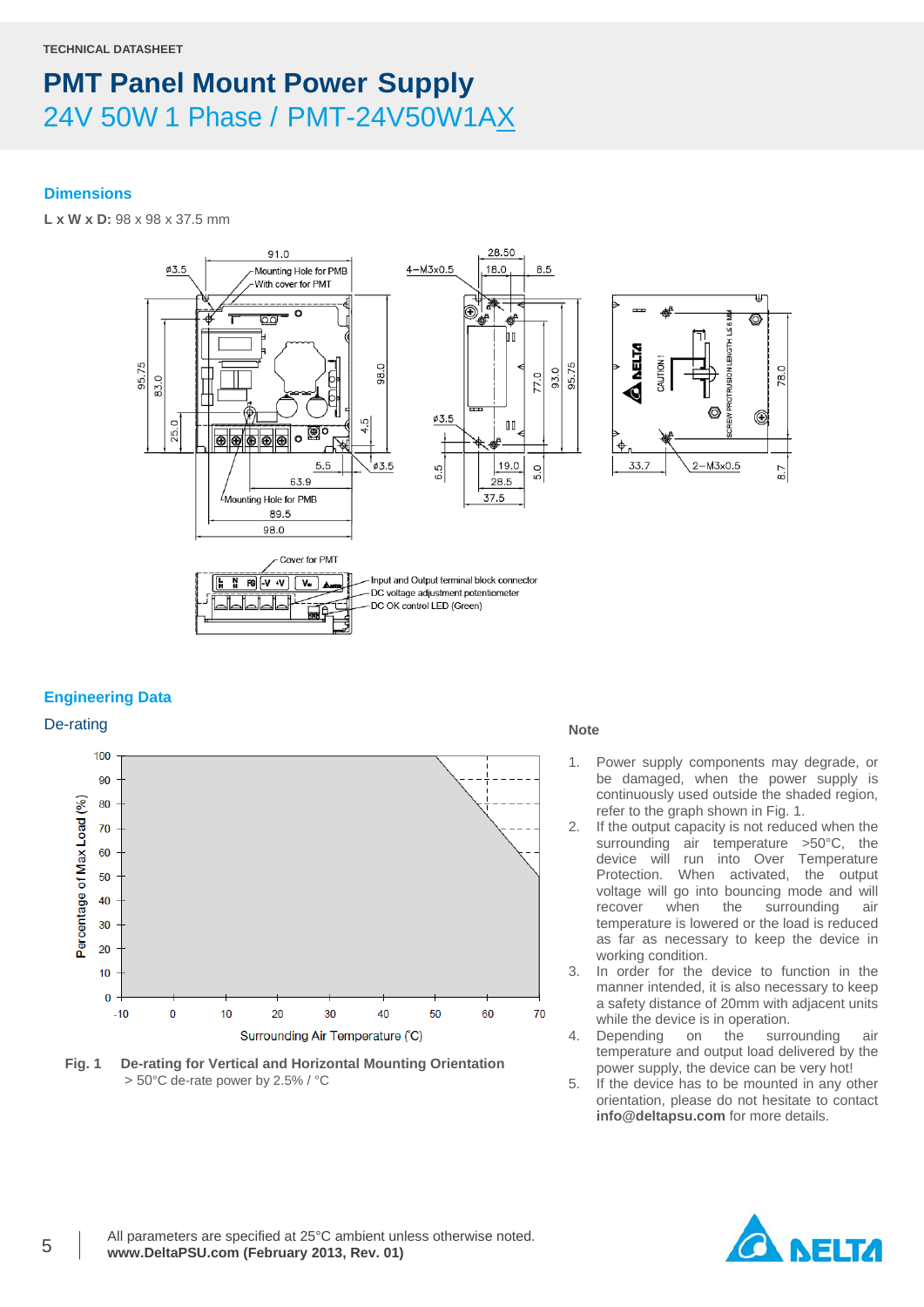### **Dimensions**

**L x W x D:** 98 x 98 x 37.5 mm



### **Engineering Data**



**Fig. 1 De-rating for Vertical and Horizontal Mounting Orientation** > 50°C de-rate power by 2.5% / °C

- 1. Power supply components may degrade, or be damaged, when the power supply is continuously used outside the shaded region, refer to the graph shown in Fig. 1.
- 2. If the output capacity is not reduced when the surrounding air temperature >50°C, the device will run into Over Temperature Protection. When activated, the output voltage will go into bouncing mode and will<br>recover when the surrounding air recover when the surrounding air temperature is lowered or the load is reduced as far as necessary to keep the device in working condition.
- 3. In order for the device to function in the manner intended, it is also necessary to keep a safety distance of 20mm with adjacent units while the device is in operation.
- 4. Depending on the surrounding air temperature and output load delivered by the power supply, the device can be very hot!
- 5. If the device has to be mounted in any other orientation, please do not hesitate to contact **info@deltapsu.com** for more details.

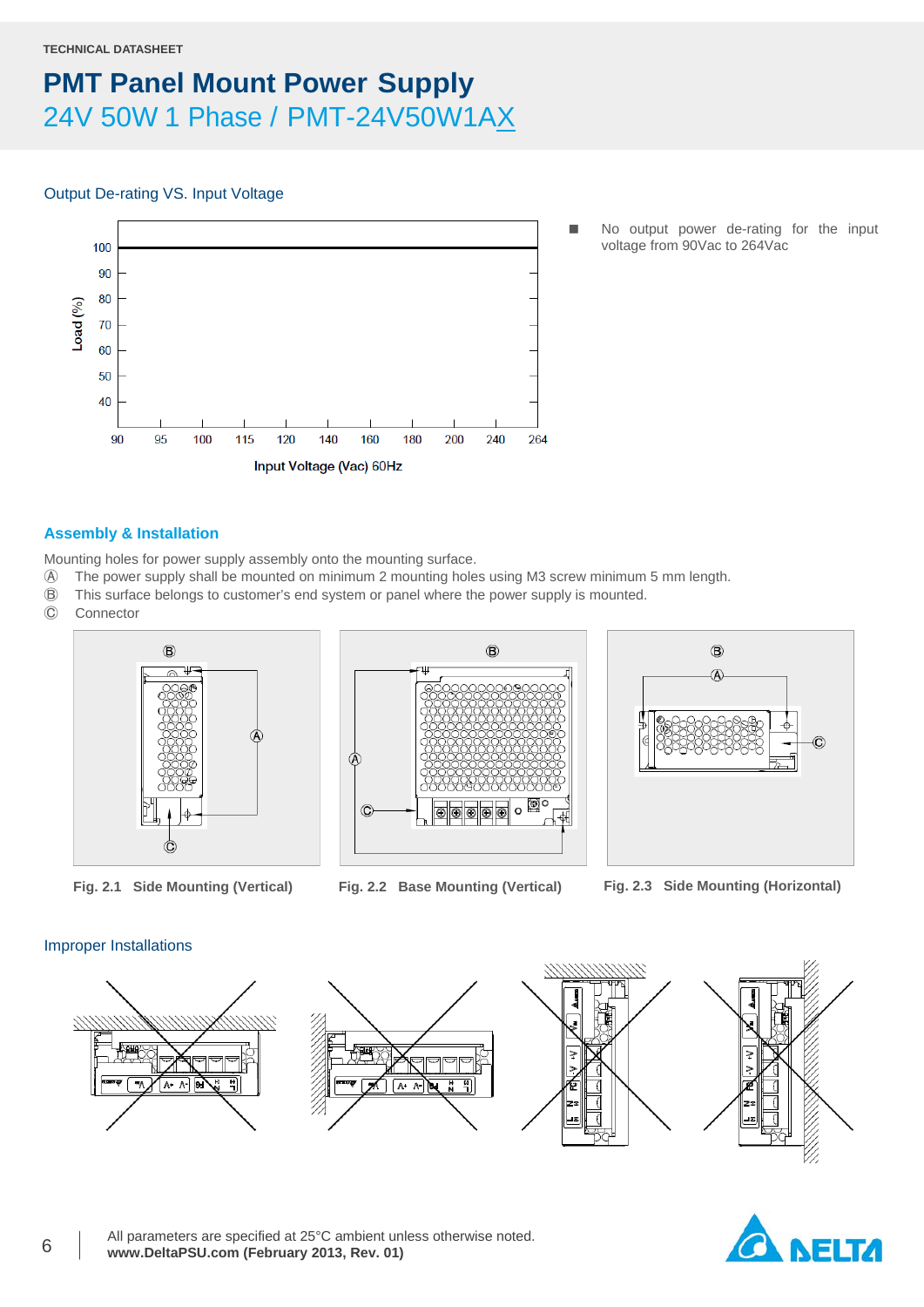#### **TECHNICAL DATASHEET**

### **PMT Panel Mount Power Supply** 24V 50W 1 Phase / PMT-24V50W1AX

### Output De-rating VS. Input Voltage



 No output power de-rating for the input voltage from 90Vac to 264Vac

### **Assembly & Installation**

Mounting holes for power supply assembly onto the mounting surface.

- Ⓐ The power supply shall be mounted on minimum 2 mounting holes using M3 screw minimum 5 mm length.
- Ⓑ This surface belongs to customer's end system or panel where the power supply is mounted.
- **Connector**







**Fig. 2.1 Side Mounting (Vertical) Fig. 2.2 Base Mounting (Vertical) Fig. 2.3 Side Mounting (Horizontal)**

### Improper Installations



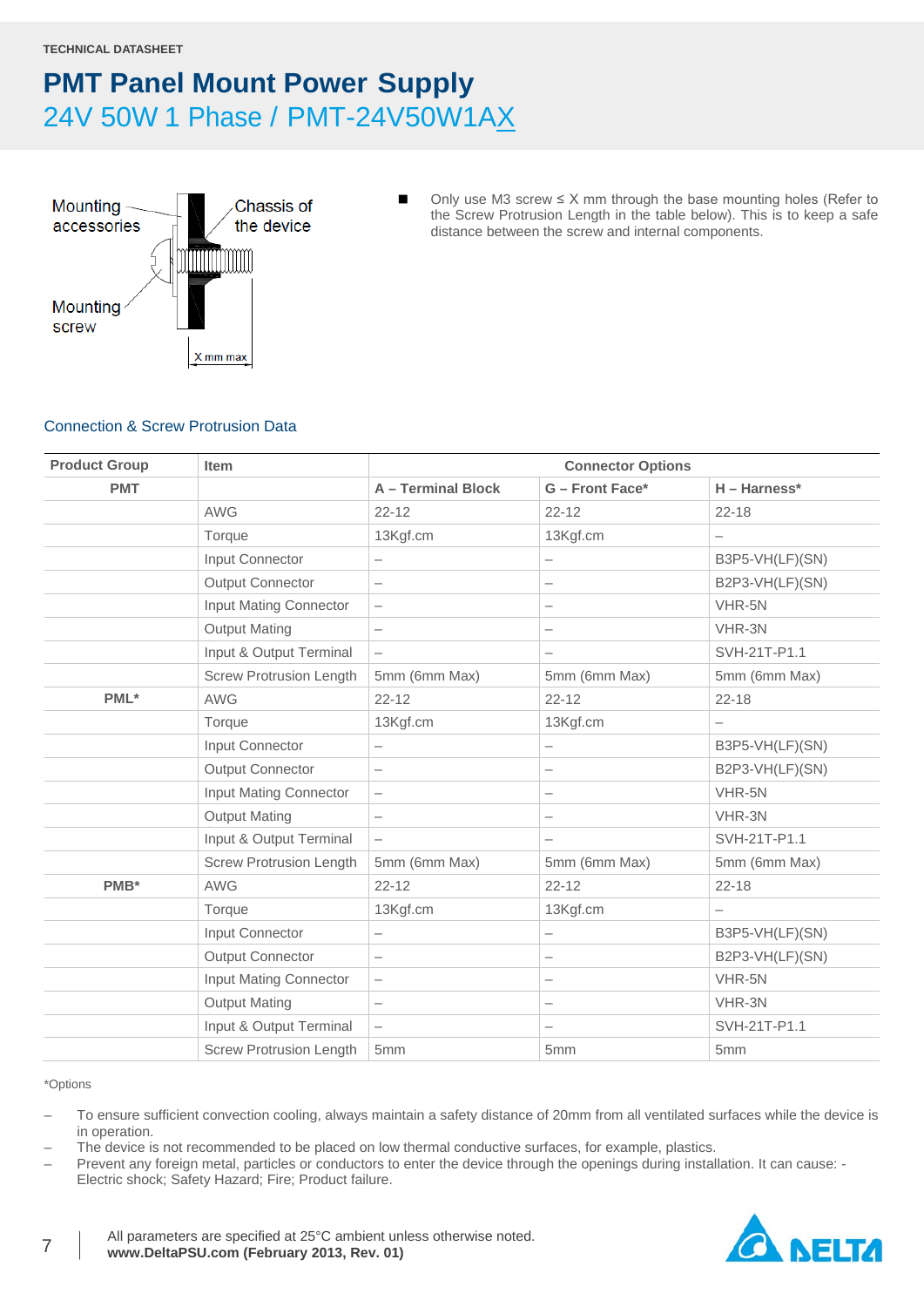

■ Only use M3 screw  $\leq$  X mm through the base mounting holes (Refer to the Screw Protrusion Length in the table below). This is to keep a safe distance between the screw and internal components.

### Connection & Screw Protrusion Data

| <b>Product Group</b><br><b>Item</b> |                                | <b>Connector Options</b> |                          |                          |  |
|-------------------------------------|--------------------------------|--------------------------|--------------------------|--------------------------|--|
| <b>PMT</b>                          |                                | A - Terminal Block       | G - Front Face*          | $H - Harness*$           |  |
|                                     | <b>AWG</b>                     | $22 - 12$                | $22 - 12$                | $22 - 18$                |  |
|                                     | Torque                         | 13Kgf.cm                 | 13Kgf.cm                 | $\overline{\phantom{0}}$ |  |
|                                     | Input Connector                | $\overline{\phantom{0}}$ | $\overline{\phantom{0}}$ | B3P5-VH(LF)(SN)          |  |
|                                     | <b>Output Connector</b>        | $\overline{\phantom{m}}$ | $\overline{\phantom{m}}$ | B2P3-VH(LF)(SN)          |  |
|                                     | Input Mating Connector         | $\qquad \qquad -$        | $\overline{\phantom{0}}$ | VHR-5N                   |  |
|                                     | <b>Output Mating</b>           | $\overline{\phantom{0}}$ |                          | VHR-3N                   |  |
|                                     | Input & Output Terminal        | $\overline{\phantom{m}}$ | $\overline{\phantom{0}}$ | SVH-21T-P1.1             |  |
|                                     | <b>Screw Protrusion Length</b> | 5mm (6mm Max)            | 5mm (6mm Max)            | 5mm (6mm Max)            |  |
| PML*                                | <b>AWG</b>                     | $22 - 12$                | $22 - 12$                | $22 - 18$                |  |
|                                     | Torque                         | 13Kgf.cm                 | 13Kgf.cm                 |                          |  |
|                                     | Input Connector                | $\overline{\phantom{0}}$ | $\overline{\phantom{0}}$ | B3P5-VH(LF)(SN)          |  |
|                                     | <b>Output Connector</b>        | $\overline{\phantom{m}}$ | $\overline{\phantom{0}}$ | B2P3-VH(LF)(SN)          |  |
|                                     | Input Mating Connector         | $\qquad \qquad -$        | $\overline{\phantom{m}}$ | VHR-5N                   |  |
|                                     | <b>Output Mating</b>           | $\overline{\phantom{m}}$ | $\overline{\phantom{0}}$ | VHR-3N                   |  |
|                                     | Input & Output Terminal        | $\overline{\phantom{0}}$ | $\overline{\phantom{m}}$ | SVH-21T-P1.1             |  |
|                                     | <b>Screw Protrusion Length</b> | 5mm (6mm Max)            | 5mm (6mm Max)            | 5mm (6mm Max)            |  |
| PMB*                                | <b>AWG</b>                     | $22 - 12$                | $22 - 12$                | $22 - 18$                |  |
|                                     | Torque                         | 13Kgf.cm                 | 13Kgf.cm                 | $\overline{\phantom{0}}$ |  |
|                                     | Input Connector                | -                        | $\overline{\phantom{0}}$ | B3P5-VH(LF)(SN)          |  |
|                                     | <b>Output Connector</b>        | $\overline{\phantom{m}}$ | $\overline{\phantom{0}}$ | B2P3-VH(LF)(SN)          |  |
|                                     | Input Mating Connector         | $\qquad \qquad -$        | $\overline{\phantom{0}}$ | VHR-5N                   |  |
|                                     | <b>Output Mating</b>           | $\overline{\phantom{m}}$ | $\overline{\phantom{m}}$ | VHR-3N                   |  |
|                                     | Input & Output Terminal        | $\overline{\phantom{0}}$ | $\overline{\phantom{m}}$ | SVH-21T-P1.1             |  |
|                                     | <b>Screw Protrusion Length</b> | 5 <sub>mm</sub>          | 5mm                      | 5mm                      |  |

\*Options

- To ensure sufficient convection cooling, always maintain a safety distance of 20mm from all ventilated surfaces while the device is in operation.
- The device is not recommended to be placed on low thermal conductive surfaces, for example, plastics.
- Prevent any foreign metal, particles or conductors to enter the device through the openings during installation. It can cause: Electric shock; Safety Hazard; Fire; Product failure.

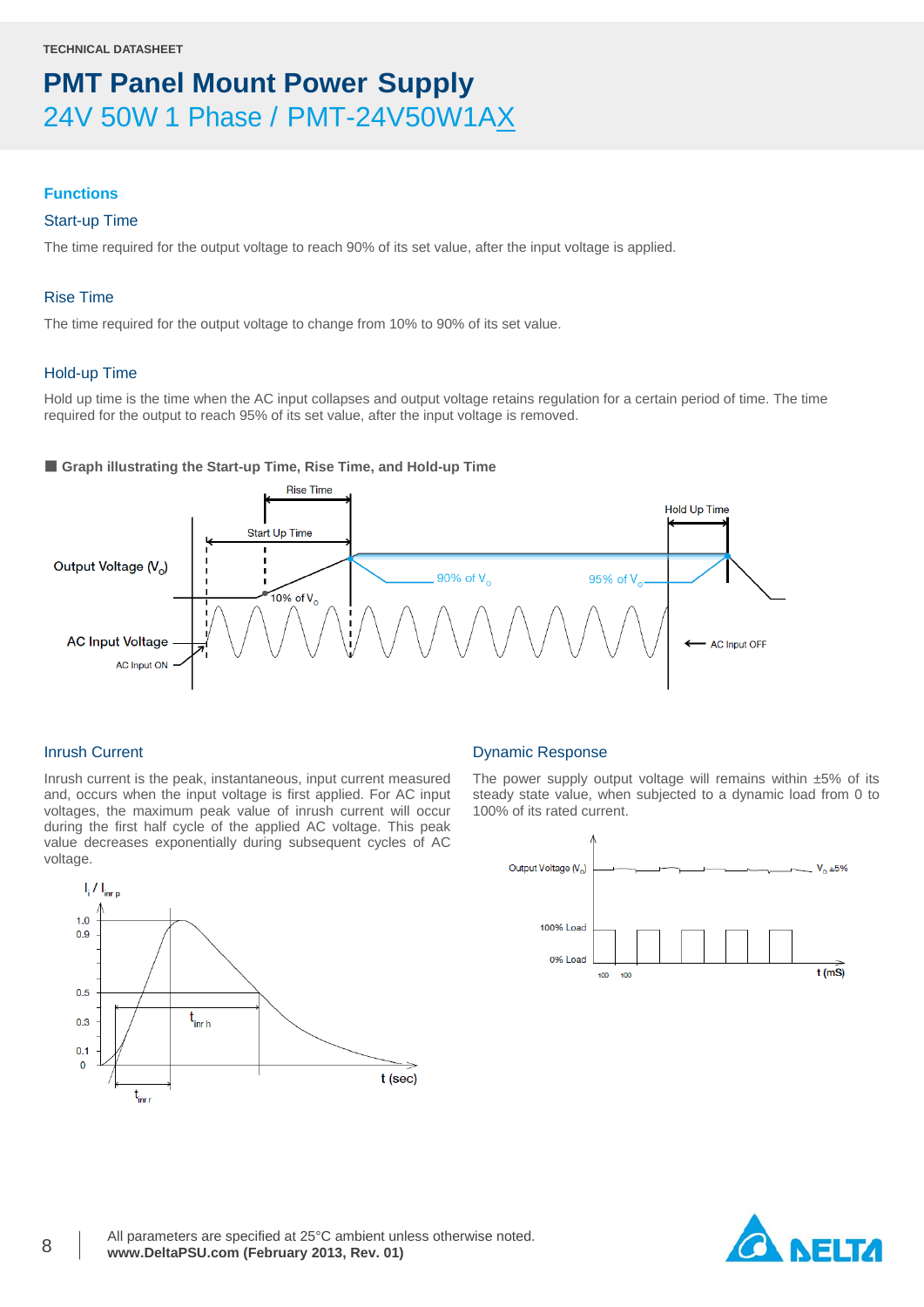### **Functions**

### Start-up Time

The time required for the output voltage to reach 90% of its set value, after the input voltage is applied.

### Rise Time

The time required for the output voltage to change from 10% to 90% of its set value.

### Hold-up Time

Hold up time is the time when the AC input collapses and output voltage retains regulation for a certain period of time. The time required for the output to reach 95% of its set value, after the input voltage is removed.

### ■ Graph illustrating the Start-up Time, Rise Time, and Hold-up Time



### Inrush Current

Inrush current is the peak, instantaneous, input current measured and, occurs when the input voltage is first applied. For AC input voltages, the maximum peak value of inrush current will occur during the first half cycle of the applied AC voltage. This peak value decreases exponentially during subsequent cycles of AC voltage.



#### Dynamic Response

The power supply output voltage will remains within  $±5\%$  of its steady state value, when subjected to a dynamic load from 0 to 100% of its rated current.



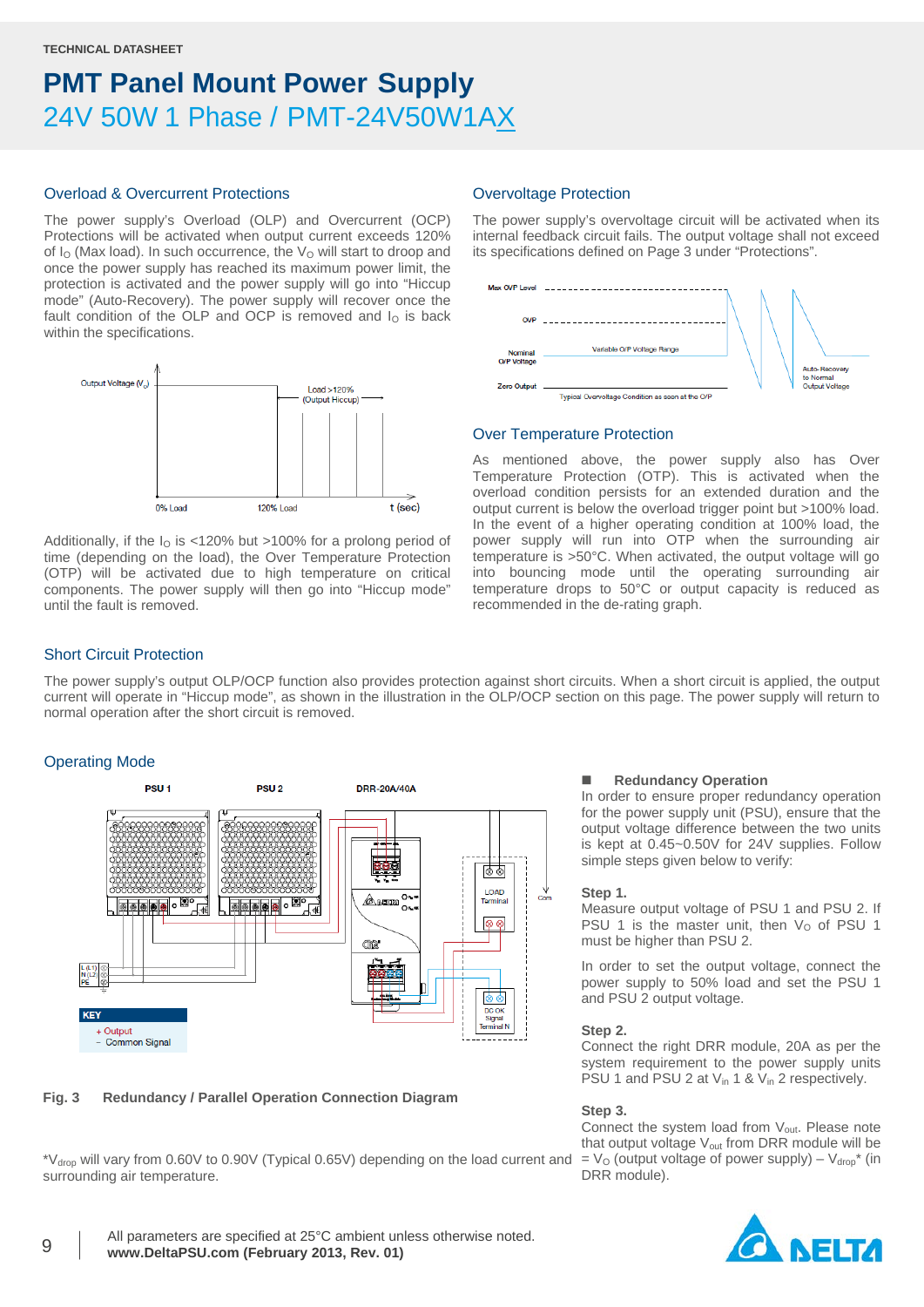### Overload & Overcurrent Protections

The power supply's Overload (OLP) and Overcurrent (OCP) Protections will be activated when output current exceeds 120% of  $I<sub>O</sub>$  (Max load). In such occurrence, the  $V<sub>O</sub>$  will start to droop and once the power supply has reached its maximum power limit, the protection is activated and the power supply will go into "Hiccup mode" (Auto-Recovery). The power supply will recover once the fault condition of the OLP and OCP is removed and  $I<sub>O</sub>$  is back within the specifications.



Additionally, if the  $I<sub>0</sub>$  is <120% but >100% for a prolong period of time (depending on the load), the Over Temperature Protection (OTP) will be activated due to high temperature on critical components. The power supply will then go into "Hiccup mode" until the fault is removed.

### Overvoltage Protection

The power supply's overvoltage circuit will be activated when its internal feedback circuit fails. The output voltage shall not exceed its specifications defined on Page 3 under "Protections".



### Over Temperature Protection

As mentioned above, the power supply also has Over Temperature Protection (OTP). This is activated when the overload condition persists for an extended duration and the output current is below the overload trigger point but >100% load. In the event of a higher operating condition at 100% load, the power supply will run into OTP when the surrounding air temperature is >50°C. When activated, the output voltage will go into bouncing mode until the operating surrounding air temperature drops to 50°C or output capacity is reduced as recommended in the de-rating graph.

### Short Circuit Protection

The power supply's output OLP/OCP function also provides protection against short circuits. When a short circuit is applied, the output current will operate in "Hiccup mode", as shown in the illustration in the OLP/OCP section on this page. The power supply will return to normal operation after the short circuit is removed.

### Operating Mode



### **Fig. 3 Redundancy / Parallel Operation Connection Diagram**

\*Vdrop will vary from 0.60V to 0.90V (Typical 0.65V) depending on the load current and surrounding air temperature.

#### **Redundancy Operation**

In order to ensure proper redundancy operation for the power supply unit (PSU), ensure that the output voltage difference between the two units is kept at 0.45~0.50V for 24V supplies. Follow simple steps given below to verify:

#### **Step 1.**

Measure output voltage of PSU 1 and PSU 2. If PSU 1 is the master unit, then  $V<sub>O</sub>$  of PSU 1 must be higher than PSU 2.

In order to set the output voltage, connect the power supply to 50% load and set the PSU 1 and PSU 2 output voltage.

#### **Step 2.**

Connect the right DRR module, 20A as per the system requirement to the power supply units PSU 1 and PSU 2 at  $V_{in}$  1 &  $V_{in}$  2 respectively.

#### **Step 3.**

Connect the system load from  $V_{\text{out}}$ . Please note that output voltage V<sub>out</sub> from DRR module will be  $= V_{\rm O}$  (output voltage of power supply) –  $V_{\rm drop}^*$  (in DRR module).